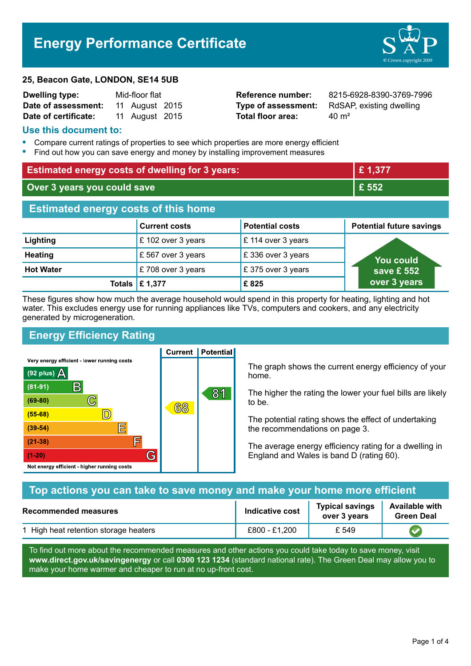# **Energy Performance Certificate**



#### **25, Beacon Gate, LONDON, SE14 5UB**

| <b>Dwelling type:</b> | Mid-floor flat |                |  |
|-----------------------|----------------|----------------|--|
| Date of assessment:   |                | 11 August 2015 |  |
| Date of certificate:  |                | 11 August 2015 |  |

**Total floor area:** 40 m<sup>2</sup>

**Reference number:** 8215-6928-8390-3769-7996 **Type of assessment:** RdSAP, existing dwelling

#### **Use this document to:**

- **•** Compare current ratings of properties to see which properties are more energy efficient
- **•** Find out how you can save energy and money by installing improvement measures

| <b>Estimated energy costs of dwelling for 3 years:</b> |                      | £1,377                 |                                 |
|--------------------------------------------------------|----------------------|------------------------|---------------------------------|
| Over 3 years you could save                            |                      | £ 552                  |                                 |
| <b>Estimated energy costs of this home</b>             |                      |                        |                                 |
|                                                        | <b>Current costs</b> | <b>Potential costs</b> | <b>Potential future savings</b> |
| Lighting                                               | £ 102 over 3 years   | £ 114 over 3 years     |                                 |
| <b>Heating</b>                                         | £ 567 over 3 years   | £336 over 3 years      | You could                       |
| <b>Hot Water</b>                                       | £708 over 3 years    | £375 over 3 years      | save £ 552                      |
|                                                        | Totals   £ 1,377     | £825                   | over 3 years                    |

These figures show how much the average household would spend in this property for heating, lighting and hot water. This excludes energy use for running appliances like TVs, computers and cookers, and any electricity generated by microgeneration.

**Current | Potential** 

# **Energy Efficiency Rating**

Very energy efficient - lower running costs



The graph shows the current energy efficiency of your home.

The higher the rating the lower your fuel bills are likely to be.

The potential rating shows the effect of undertaking the recommendations on page 3.

The average energy efficiency rating for a dwelling in England and Wales is band D (rating 60).

| Top actions you can take to save money and make your home more efficient |               |                                                                                      |  |
|--------------------------------------------------------------------------|---------------|--------------------------------------------------------------------------------------|--|
| <b>Indicative cost</b><br><b>Recommended measures</b>                    |               | <b>Available with</b><br><b>Typical savings</b><br>over 3 years<br><b>Green Deal</b> |  |
| 1 High heat retention storage heaters                                    | £800 - £1,200 | £ 549                                                                                |  |

To find out more about the recommended measures and other actions you could take today to save money, visit **www.direct.gov.uk/savingenergy** or call **0300 123 1234** (standard national rate). The Green Deal may allow you to make your home warmer and cheaper to run at no up-front cost.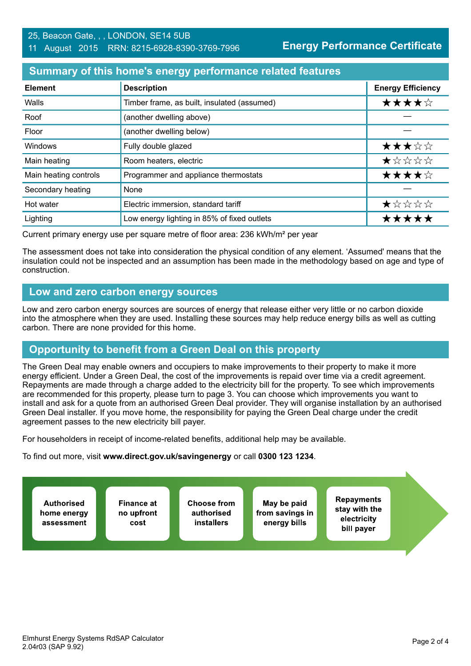#### **Summary of this home's energy performance related features**

| <b>Element</b>        | <b>Description</b>                          | <b>Energy Efficiency</b> |
|-----------------------|---------------------------------------------|--------------------------|
| Walls                 | Timber frame, as built, insulated (assumed) | ★★★★☆                    |
| Roof                  | (another dwelling above)                    |                          |
| Floor                 | (another dwelling below)                    |                          |
| <b>Windows</b>        | Fully double glazed                         | ★★★☆☆                    |
| Main heating          | Room heaters, electric                      | ★☆☆☆☆                    |
| Main heating controls | Programmer and appliance thermostats        | ★★★★☆                    |
| Secondary heating     | None                                        |                          |
| Hot water             | Electric immersion, standard tariff         | ★☆☆☆☆                    |
| Lighting              | Low energy lighting in 85% of fixed outlets | *****                    |

Current primary energy use per square metre of floor area: 236 kWh/m² per year

The assessment does not take into consideration the physical condition of any element. 'Assumed' means that the insulation could not be inspected and an assumption has been made in the methodology based on age and type of construction.

#### **Low and zero carbon energy sources**

Low and zero carbon energy sources are sources of energy that release either very little or no carbon dioxide into the atmosphere when they are used. Installing these sources may help reduce energy bills as well as cutting carbon. There are none provided for this home.

## **Opportunity to benefit from a Green Deal on this property**

The Green Deal may enable owners and occupiers to make improvements to their property to make it more energy efficient. Under a Green Deal, the cost of the improvements is repaid over time via a credit agreement. Repayments are made through a charge added to the electricity bill for the property. To see which improvements are recommended for this property, please turn to page 3. You can choose which improvements you want to install and ask for a quote from an authorised Green Deal provider. They will organise installation by an authorised Green Deal installer. If you move home, the responsibility for paying the Green Deal charge under the credit agreement passes to the new electricity bill payer.

For householders in receipt of income-related benefits, additional help may be available.

To find out more, visit **www.direct.gov.uk/savingenergy** or call **0300 123 1234**.

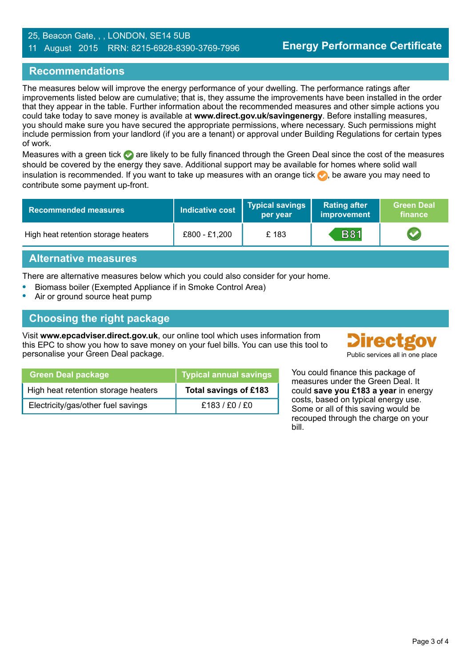#### 25, Beacon Gate, , , LONDON, SE14 5UB 11 August 2015 RRN: 8215-6928-8390-3769-7996

## **Recommendations**

The measures below will improve the energy performance of your dwelling. The performance ratings after improvements listed below are cumulative; that is, they assume the improvements have been installed in the order that they appear in the table. Further information about the recommended measures and other simple actions you could take today to save money is available at **www.direct.gov.uk/savingenergy**. Before installing measures, you should make sure you have secured the appropriate permissions, where necessary. Such permissions might include permission from your landlord (if you are a tenant) or approval under Building Regulations for certain types of work.

Measures with a green tick  $\bullet$  are likely to be fully financed through the Green Deal since the cost of the measures should be covered by the energy they save. Additional support may be available for homes where solid wall insulation is recommended. If you want to take up measures with an orange tick  $\bullet$ , be aware you may need to contribute some payment up-front.

| <b>Recommended measures</b>         | Indicative cost | Typical savings<br>per year | <b>Rating after</b><br>improvement | <b>Green Deal</b><br>finance |
|-------------------------------------|-----------------|-----------------------------|------------------------------------|------------------------------|
| High heat retention storage heaters | £800 - £1,200   | £183                        | <b>B81</b>                         |                              |

## **Alternative measures**

There are alternative measures below which you could also consider for your home.

- **•** Biomass boiler (Exempted Appliance if in Smoke Control Area)
- **•** Air or ground source heat pump

## **Choosing the right package**

Visit **www.epcadviser.direct.gov.uk**, our online tool which uses information from this EPC to show you how to save money on your fuel bills. You can use this tool to personalise your Green Deal package. Public services all in one place



| <b>Green Deal package</b>           | <b>Typical annual savings</b> |
|-------------------------------------|-------------------------------|
| High heat retention storage heaters | Total savings of £183         |
| Electricity/gas/other fuel savings  | £183/£0/£0                    |

You could finance this package of measures under the Green Deal. It could **save you £183 a year** in energy costs, based on typical energy use. Some or all of this saving would be recouped through the charge on your bill.